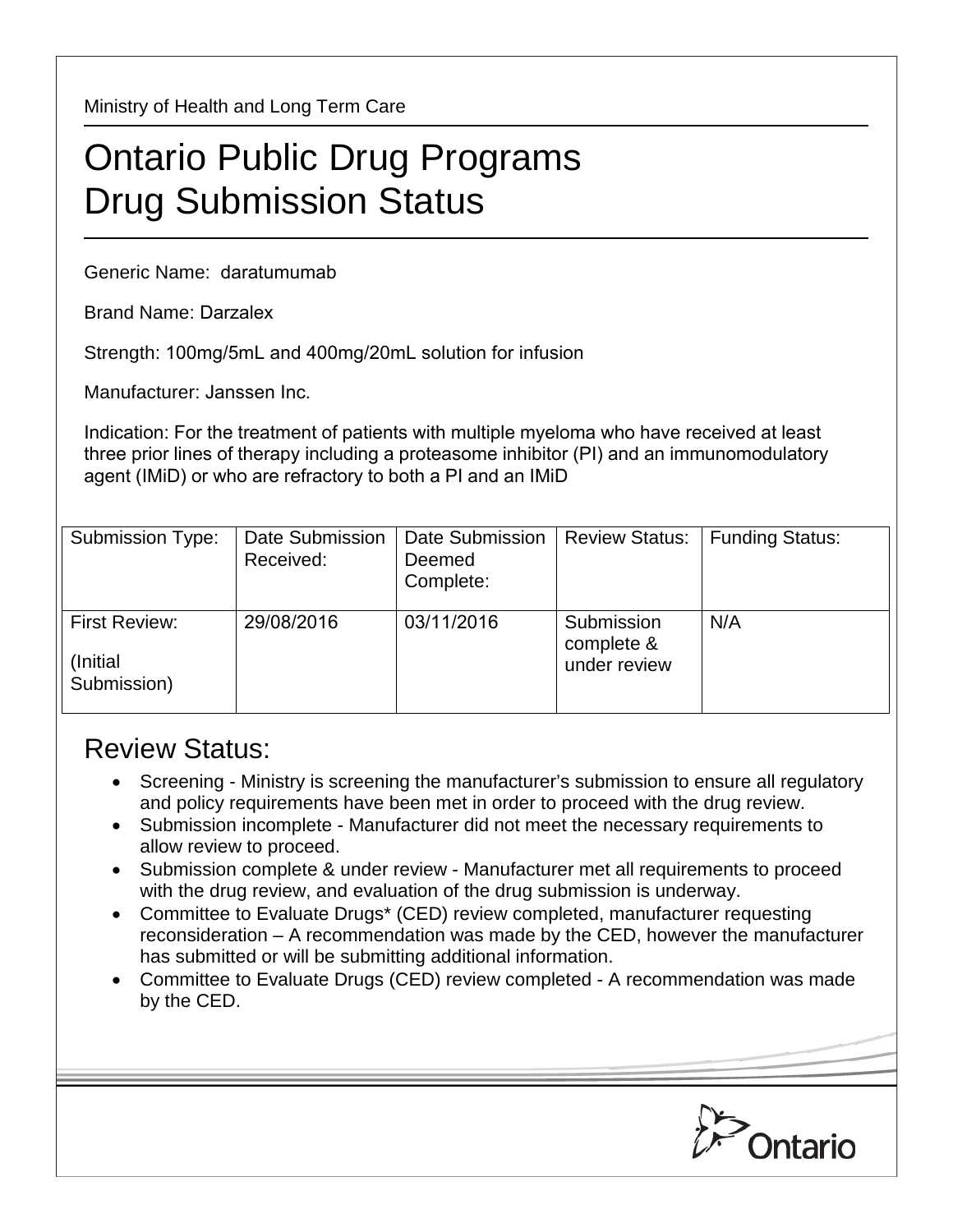Ministry of Health and Long Term Care

## Ontario Public Drug Programs Drug Submission Status

Generic Name: daratumumab

Brand Name: Darzalex

Strength: 100mg/5mL and 400mg/20mL solution for infusion

Manufacturer: Janssen Inc.

Indication: For the treatment of patients with multiple myeloma who have received at least three prior lines of therapy including a proteasome inhibitor (PI) and an immunomodulatory agent (IMiD) or who are refractory to both a PI and an IMiD

| Submission Type:                                 | Date Submission<br>Received: | Date Submission<br>Deemed<br>Complete: | <b>Review Status:</b>                    | <b>Funding Status:</b> |
|--------------------------------------------------|------------------------------|----------------------------------------|------------------------------------------|------------------------|
| <b>First Review:</b><br>(Initial)<br>Submission) | 29/08/2016                   | 03/11/2016                             | Submission<br>complete &<br>under review | N/A                    |

## Review Status:

- Screening Ministry is screening the manufacturer's submission to ensure all regulatory and policy requirements have been met in order to proceed with the drug review.
- Submission incomplete Manufacturer did not meet the necessary requirements to allow review to proceed.
- Submission complete & under review Manufacturer met all requirements to proceed with the drug review, and evaluation of the drug submission is underway.
- Committee to Evaluate Drugs\* (CED) review completed, manufacturer requesting reconsideration – A recommendation was made by the CED, however the manufacturer has submitted or will be submitting additional information.
- Committee to Evaluate Drugs (CED) review completed A recommendation was made by the CED.